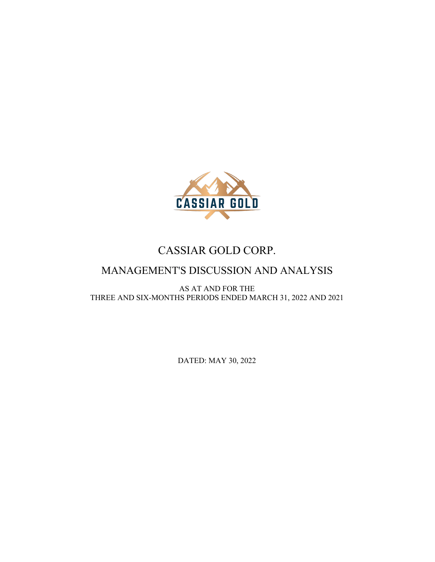

# CASSIAR GOLD CORP.

# MANAGEMENT'S DISCUSSION AND ANALYSIS

AS AT AND FOR THE THREE AND SIX-MONTHS PERIODS ENDED MARCH 31, 2022 AND 2021

DATED: MAY 30, 2022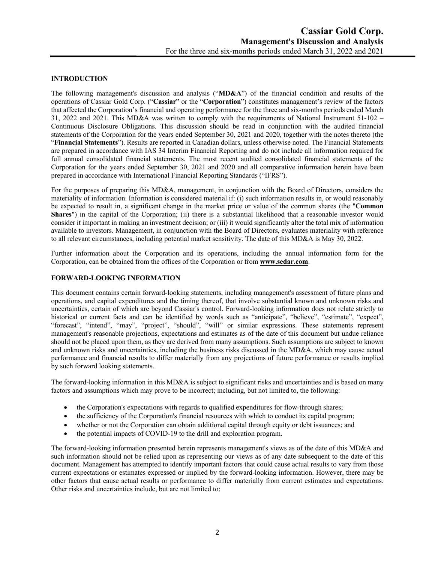## **INTRODUCTION**

The following management's discussion and analysis ("**MD&A**") of the financial condition and results of the operations of Cassiar Gold Corp. ("**Cassiar**" or the "**Corporation**") constitutes management's review of the factors that affected the Corporation's financial and operating performance for the three and six-months periods ended March 31, 2022 and 2021. This MD&A was written to comply with the requirements of National Instrument 51-102 – Continuous Disclosure Obligations. This discussion should be read in conjunction with the audited financial statements of the Corporation for the years ended September 30, 2021 and 2020, together with the notes thereto (the "**Financial Statements**"). Results are reported in Canadian dollars, unless otherwise noted. The Financial Statements are prepared in accordance with IAS 34 Interim Financial Reporting and do not include all information required for full annual consolidated financial statements. The most recent audited consolidated financial statements of the Corporation for the years ended September 30, 2021 and 2020 and all comparative information herein have been prepared in accordance with International Financial Reporting Standards ("IFRS").

For the purposes of preparing this MD&A, management, in conjunction with the Board of Directors, considers the materiality of information. Information is considered material if: (i) such information results in, or would reasonably be expected to result in, a significant change in the market price or value of the common shares (the "**Common Shares**") in the capital of the Corporation; (ii) there is a substantial likelihood that a reasonable investor would consider it important in making an investment decision; or (iii) it would significantly alter the total mix of information available to investors. Management, in conjunction with the Board of Directors, evaluates materiality with reference to all relevant circumstances, including potential market sensitivity. The date of this MD&A is May 30, 2022.

Further information about the Corporation and its operations, including the annual information form for the Corporation, can be obtained from the offices of the Corporation or from **www.sedar.com**.

# **FORWARD-LOOKING INFORMATION**

This document contains certain forward-looking statements, including management's assessment of future plans and operations, and capital expenditures and the timing thereof, that involve substantial known and unknown risks and uncertainties, certain of which are beyond Cassiar's control. Forward-looking information does not relate strictly to historical or current facts and can be identified by words such as "anticipate", "believe", "estimate", "expect", "forecast", "intend", "may", "project", "should", "will" or similar expressions. These statements represent management's reasonable projections, expectations and estimates as of the date of this document but undue reliance should not be placed upon them, as they are derived from many assumptions. Such assumptions are subject to known and unknown risks and uncertainties, including the business risks discussed in the MD&A, which may cause actual performance and financial results to differ materially from any projections of future performance or results implied by such forward looking statements.

The forward-looking information in this MD&A is subject to significant risks and uncertainties and is based on many factors and assumptions which may prove to be incorrect; including, but not limited to, the following:

- the Corporation's expectations with regards to qualified expenditures for flow-through shares;
- the sufficiency of the Corporation's financial resources with which to conduct its capital program;
- whether or not the Corporation can obtain additional capital through equity or debt issuances; and
- the potential impacts of COVID-19 to the drill and exploration program.

The forward-looking information presented herein represents management's views as of the date of this MD&A and such information should not be relied upon as representing our views as of any date subsequent to the date of this document. Management has attempted to identify important factors that could cause actual results to vary from those current expectations or estimates expressed or implied by the forward-looking information. However, there may be other factors that cause actual results or performance to differ materially from current estimates and expectations. Other risks and uncertainties include, but are not limited to: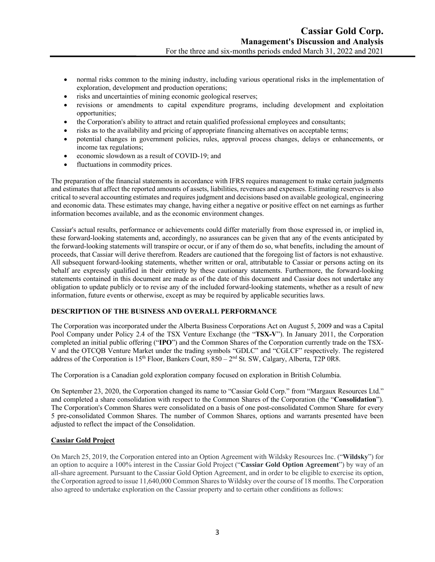- normal risks common to the mining industry, including various operational risks in the implementation of exploration, development and production operations;
- risks and uncertainties of mining economic geological reserves;
- revisions or amendments to capital expenditure programs, including development and exploitation opportunities;
- the Corporation's ability to attract and retain qualified professional employees and consultants;
- risks as to the availability and pricing of appropriate financing alternatives on acceptable terms;
- potential changes in government policies, rules, approval process changes, delays or enhancements, or income tax regulations;
- economic slowdown as a result of COVID-19; and
- fluctuations in commodity prices.

The preparation of the financial statements in accordance with IFRS requires management to make certain judgments and estimates that affect the reported amounts of assets, liabilities, revenues and expenses. Estimating reserves is also critical to several accounting estimates and requires judgment and decisions based on available geological, engineering and economic data. These estimates may change, having either a negative or positive effect on net earnings as further information becomes available, and as the economic environment changes.

Cassiar's actual results, performance or achievements could differ materially from those expressed in, or implied in, these forward-looking statements and, accordingly, no assurances can be given that any of the events anticipated by the forward-looking statements will transpire or occur, or if any of them do so, what benefits, including the amount of proceeds, that Cassiar will derive therefrom. Readers are cautioned that the foregoing list of factors is not exhaustive. All subsequent forward-looking statements, whether written or oral, attributable to Cassiar or persons acting on its behalf are expressly qualified in their entirety by these cautionary statements. Furthermore, the forward-looking statements contained in this document are made as of the date of this document and Cassiar does not undertake any obligation to update publicly or to revise any of the included forward-looking statements, whether as a result of new information, future events or otherwise, except as may be required by applicable securities laws.

### **DESCRIPTION OF THE BUSINESS AND OVERALL PERFORMANCE**

The Corporation was incorporated under the Alberta Business Corporations Act on August 5, 2009 and was a Capital Pool Company under Policy 2.4 of the TSX Venture Exchange (the "**TSX-V**"). In January 2011, the Corporation completed an initial public offering ("**IPO**") and the Common Shares of the Corporation currently trade on the TSX-V and the OTCQB Venture Market under the trading symbols "GDLC" and "CGLCF" respectively. The registered address of the Corporation is 15<sup>th</sup> Floor, Bankers Court, 850 – 2<sup>nd</sup> St. SW, Calgary, Alberta, T2P 0R8.

The Corporation is a Canadian gold exploration company focused on exploration in British Columbia.

On September 23, 2020, the Corporation changed its name to "Cassiar Gold Corp." from "Margaux Resources Ltd." and completed a share consolidation with respect to the Common Shares of the Corporation (the "**Consolidation**"). The Corporation's Common Shares were consolidated on a basis of one post-consolidated Common Share for every 5 pre-consolidated Common Shares. The number of Common Shares, options and warrants presented have been adjusted to reflect the impact of the Consolidation.

### **Cassiar Gold Project**

On March 25, 2019, the Corporation entered into an Option Agreement with Wildsky Resources Inc. ("**Wildsky**") for an option to acquire a 100% interest in the Cassiar Gold Project ("**Cassiar Gold Option Agreement**") by way of an all-share agreement. Pursuant to the Cassiar Gold Option Agreement, and in order to be eligible to exercise its option, the Corporation agreed to issue 11,640,000 Common Shares to Wildsky over the course of 18 months. The Corporation also agreed to undertake exploration on the Cassiar property and to certain other conditions as follows: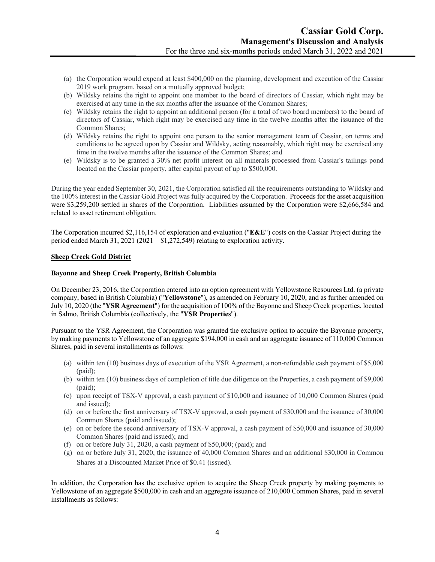- (a) the Corporation would expend at least \$400,000 on the planning, development and execution of the Cassiar 2019 work program, based on a mutually approved budget;
- (b) Wildsky retains the right to appoint one member to the board of directors of Cassiar, which right may be exercised at any time in the six months after the issuance of the Common Shares;
- (c) Wildsky retains the right to appoint an additional person (for a total of two board members) to the board of directors of Cassiar, which right may be exercised any time in the twelve months after the issuance of the Common Shares;
- (d) Wildsky retains the right to appoint one person to the senior management team of Cassiar, on terms and conditions to be agreed upon by Cassiar and Wildsky, acting reasonably, which right may be exercised any time in the twelve months after the issuance of the Common Shares; and
- (e) Wildsky is to be granted a 30% net profit interest on all minerals processed from Cassiar's tailings pond located on the Cassiar property, after capital payout of up to \$500,000.

During the year ended September 30, 2021, the Corporation satisfied all the requirements outstanding to Wildsky and the 100% interest in the Cassiar Gold Project was fully acquired by the Corporation. Proceeds for the asset acquisition were \$3,259,200 settled in shares of the Corporation. Liabilities assumed by the Corporation were \$2,666,584 and related to asset retirement obligation.

The Corporation incurred \$2,116,154 of exploration and evaluation ("**E&E**") costs on the Cassiar Project during the period ended March 31, 2021 (2021 – \$1,272,549) relating to exploration activity.

### **Sheep Creek Gold District**

#### **Bayonne and Sheep Creek Property, British Columbia**

On December 23, 2016, the Corporation entered into an option agreement with Yellowstone Resources Ltd. (a private company, based in British Columbia) ("**Yellowstone**"), as amended on February 10, 2020, and as further amended on July 10, 2020 (the "**YSR Agreement**") for the acquisition of 100% of the Bayonne and Sheep Creek properties, located in Salmo, British Columbia (collectively, the "**YSR Properties**").

Pursuant to the YSR Agreement, the Corporation was granted the exclusive option to acquire the Bayonne property, by making payments to Yellowstone of an aggregate \$194,000 in cash and an aggregate issuance of 110,000 Common Shares, paid in several installments as follows:

- (a) within ten (10) business days of execution of the YSR Agreement, a non-refundable cash payment of \$5,000 (paid);
- (b) within ten (10) business days of completion of title due diligence on the Properties, a cash payment of \$9,000 (paid);
- (c) upon receipt of TSX-V approval, a cash payment of \$10,000 and issuance of 10,000 Common Shares (paid and issued);
- (d) on or before the first anniversary of TSX-V approval, a cash payment of \$30,000 and the issuance of 30,000 Common Shares (paid and issued);
- (e) on or before the second anniversary of TSX-V approval, a cash payment of \$50,000 and issuance of 30,000 Common Shares (paid and issued); and
- (f) on or before July 31, 2020, a cash payment of \$50,000; (paid); and
- (g) on or before July 31, 2020, the issuance of 40,000 Common Shares and an additional \$30,000 in Common Shares at a Discounted Market Price of \$0.41 (issued).

In addition, the Corporation has the exclusive option to acquire the Sheep Creek property by making payments to Yellowstone of an aggregate \$500,000 in cash and an aggregate issuance of 210,000 Common Shares, paid in several installments as follows: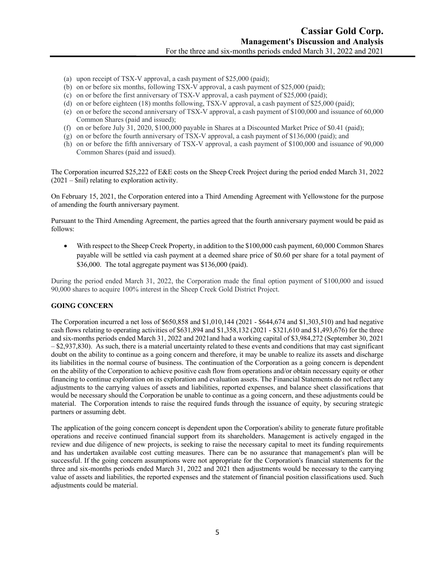- (a) upon receipt of TSX-V approval, a cash payment of \$25,000 (paid);
- (b) on or before six months, following TSX-V approval, a cash payment of \$25,000 (paid);
- (c) on or before the first anniversary of TSX-V approval, a cash payment of \$25,000 (paid);
- (d) on or before eighteen (18) months following, TSX-V approval, a cash payment of \$25,000 (paid);
- (e) on or before the second anniversary of TSX-V approval, a cash payment of \$100,000 and issuance of 60,000 Common Shares (paid and issued);
- (f) on or before July 31, 2020, \$100,000 payable in Shares at a Discounted Market Price of \$0.41 (paid);
- (g) on or before the fourth anniversary of TSX-V approval, a cash payment of \$136,000 (paid); and
- (h) on or before the fifth anniversary of TSX-V approval, a cash payment of \$100,000 and issuance of 90,000 Common Shares (paid and issued).

The Corporation incurred \$25,222 of E&E costs on the Sheep Creek Project during the period ended March 31, 2022  $(2021 - \text{Snil})$  relating to exploration activity.

On February 15, 2021, the Corporation entered into a Third Amending Agreement with Yellowstone for the purpose of amending the fourth anniversary payment.

Pursuant to the Third Amending Agreement, the parties agreed that the fourth anniversary payment would be paid as follows:

• With respect to the Sheep Creek Property, in addition to the \$100,000 cash payment, 60,000 Common Shares payable will be settled via cash payment at a deemed share price of \$0.60 per share for a total payment of \$36,000. The total aggregate payment was \$136,000 (paid).

During the period ended March 31, 2022, the Corporation made the final option payment of \$100,000 and issued 90,000 shares to acquire 100% interest in the Sheep Creek Gold District Project.

### **GOING CONCERN**

The Corporation incurred a net loss of \$650,858 and \$1,010,144 (2021 - \$644,674 and \$1,303,510) and had negative cash flows relating to operating activities of \$631,894 and \$1,358,132 (2021 - \$321,610 and \$1,493,676) for the three and six-months periods ended March 31, 2022 and 2021and had a working capital of \$3,984,272 (September 30, 2021  $-$  \$2,937,830). As such, there is a material uncertainty related to these events and conditions that may cast significant doubt on the ability to continue as a going concern and therefore, it may be unable to realize its assets and discharge its liabilities in the normal course of business. The continuation of the Corporation as a going concern is dependent on the ability of the Corporation to achieve positive cash flow from operations and/or obtain necessary equity or other financing to continue exploration on its exploration and evaluation assets. The Financial Statements do not reflect any adjustments to the carrying values of assets and liabilities, reported expenses, and balance sheet classifications that would be necessary should the Corporation be unable to continue as a going concern, and these adjustments could be material. The Corporation intends to raise the required funds through the issuance of equity, by securing strategic partners or assuming debt.

The application of the going concern concept is dependent upon the Corporation's ability to generate future profitable operations and receive continued financial support from its shareholders. Management is actively engaged in the review and due diligence of new projects, is seeking to raise the necessary capital to meet its funding requirements and has undertaken available cost cutting measures. There can be no assurance that management's plan will be successful. If the going concern assumptions were not appropriate for the Corporation's financial statements for the three and six-months periods ended March 31, 2022 and 2021 then adjustments would be necessary to the carrying value of assets and liabilities, the reported expenses and the statement of financial position classifications used. Such adjustments could be material.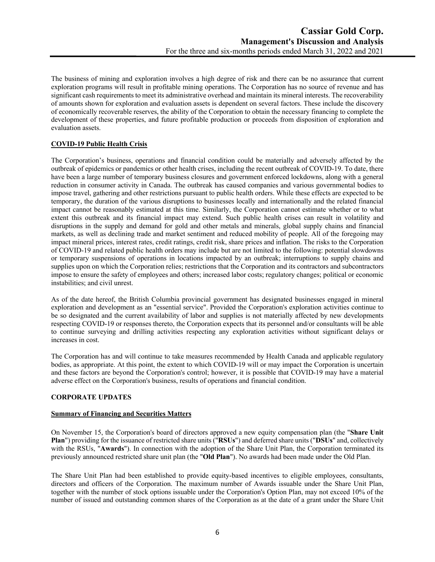The business of mining and exploration involves a high degree of risk and there can be no assurance that current exploration programs will result in profitable mining operations. The Corporation has no source of revenue and has significant cash requirements to meet its administrative overhead and maintain its mineral interests. The recoverability of amounts shown for exploration and evaluation assets is dependent on several factors. These include the discovery of economically recoverable reserves, the ability of the Corporation to obtain the necessary financing to complete the development of these properties, and future profitable production or proceeds from disposition of exploration and evaluation assets.

# **COVID-19 Public Health Crisis**

The Corporation's business, operations and financial condition could be materially and adversely affected by the outbreak of epidemics or pandemics or other health crises, including the recent outbreak of COVID-19. To date, there have been a large number of temporary business closures and government enforced lockdowns, along with a general reduction in consumer activity in Canada. The outbreak has caused companies and various governmental bodies to impose travel, gathering and other restrictions pursuant to public health orders. While these effects are expected to be temporary, the duration of the various disruptions to businesses locally and internationally and the related financial impact cannot be reasonably estimated at this time. Similarly, the Corporation cannot estimate whether or to what extent this outbreak and its financial impact may extend. Such public health crises can result in volatility and disruptions in the supply and demand for gold and other metals and minerals, global supply chains and financial markets, as well as declining trade and market sentiment and reduced mobility of people. All of the foregoing may impact mineral prices, interest rates, credit ratings, credit risk, share prices and inflation. The risks to the Corporation of COVID-19 and related public health orders may include but are not limited to the following: potential slowdowns or temporary suspensions of operations in locations impacted by an outbreak; interruptions to supply chains and supplies upon on which the Corporation relies; restrictions that the Corporation and its contractors and subcontractors impose to ensure the safety of employees and others; increased labor costs; regulatory changes; political or economic instabilities; and civil unrest.

As of the date hereof, the British Columbia provincial government has designated businesses engaged in mineral exploration and development as an "essential service". Provided the Corporation's exploration activities continue to be so designated and the current availability of labor and supplies is not materially affected by new developments respecting COVID-19 or responses thereto, the Corporation expects that its personnel and/or consultants will be able to continue surveying and drilling activities respecting any exploration activities without significant delays or increases in cost.

The Corporation has and will continue to take measures recommended by Health Canada and applicable regulatory bodies, as appropriate. At this point, the extent to which COVID-19 will or may impact the Corporation is uncertain and these factors are beyond the Corporation's control; however, it is possible that COVID-19 may have a material adverse effect on the Corporation's business, results of operations and financial condition.

# **CORPORATE UPDATES**

### **Summary of Financing and Securities Matters**

On November 15, the Corporation's board of directors approved a new equity compensation plan (the "**Share Unit Plan**") providing for the issuance of restricted share units ("**RSUs**") and deferred share units ("**DSUs**" and, collectively with the RSUs, "**Awards**"). In connection with the adoption of the Share Unit Plan, the Corporation terminated its previously announced restricted share unit plan (the "**Old Plan**"). No awards had been made under the Old Plan.

The Share Unit Plan had been established to provide equity-based incentives to eligible employees, consultants, directors and officers of the Corporation. The maximum number of Awards issuable under the Share Unit Plan, together with the number of stock options issuable under the Corporation's Option Plan, may not exceed 10% of the number of issued and outstanding common shares of the Corporation as at the date of a grant under the Share Unit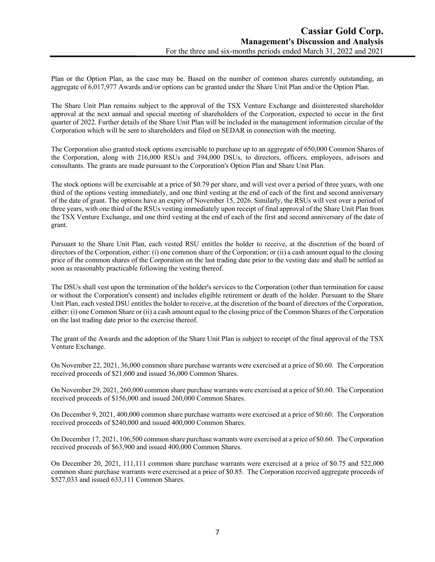Plan or the Option Plan, as the case may be. Based on the number of common shares currently outstanding, an aggregate of 6,017,977 Awards and/or options can be granted under the Share Unit Plan and/or the Option Plan.

The Share Unit Plan remains subject to the approval of the TSX Venture Exchange and disinterested shareholder approval at the next annual and special meeting of shareholders of the Corporation, expected to occur in the first quarter of 2022. Further details of the Share Unit Plan will be included in the management information circular of the Corporation which will be sent to shareholders and filed on SEDAR in connection with the meeting.

The Corporation also granted stock options exercisable to purchase up to an aggregate of 650,000 Common Shares of the Corporation, along with 216,000 RSUs and 394,000 DSUs, to directors, officers, employees, advisors and consultants. The grants are made pursuant to the Corporation's Option Plan and Share Unit Plan.

The stock options will be exercisable at a price of \$0.79 per share, and will vest over a period of three years, with one third of the options vesting immediately, and one third vesting at the end of each of the first and second anniversary of the date of grant. The options have an expiry of November 15, 2026. Similarly, the RSUs will vest over a period of three years, with one third of the RSUs vesting immediately upon receipt of final approval of the Share Unit Plan from the TSX Venture Exchange, and one third vesting at the end of each of the first and second anniversary of the date of grant.

Pursuant to the Share Unit Plan, each vested RSU entitles the holder to receive, at the discretion of the board of directors of the Corporation, either: (i) one common share of the Corporation; or (ii) a cash amount equal to the closing price of the common shares of the Corporation on the last trading date prior to the vesting date and shall be settled as soon as reasonably practicable following the vesting thereof.

The DSUs shall vest upon the termination of the holder's services to the Corporation (other than termination for cause or without the Corporation's consent) and includes eligible retirement or death of the holder. Pursuant to the Share Unit Plan, each vested DSU entitles the holder to receive, at the discretion of the board of directors of the Corporation, either: (i) one Common Share or (ii) a cash amount equal to the closing price of the Common Shares of the Corporation on the last trading date prior to the exercise thereof.

The grant of the Awards and the adoption of the Share Unit Plan is subject to receipt of the final approval of the TSX Venture Exchange.

On November 22, 2021, 36,000 common share purchase warrants were exercised at a price of \$0.60. The Corporation received proceeds of \$21,600 and issued 36,000 Common Shares.

On November 29, 2021, 260,000 common share purchase warrants were exercised at a price of \$0.60. The Corporation received proceeds of \$156,000 and issued 260,000 Common Shares.

On December 9, 2021, 400,000 common share purchase warrants were exercised at a price of \$0.60. The Corporation received proceeds of \$240,000 and issued 400,000 Common Shares.

On December 17, 2021, 106,500 common share purchase warrants were exercised at a price of \$0.60. The Corporation received proceeds of \$63,900 and issued 400,000 Common Shares.

On December 20, 2021, 111,111 common share purchase warrants were exercised at a price of \$0.75 and 522,000 common share purchase warrants were exercised at a price of \$0.85. The Corporation received aggregate proceeds of \$527,033 and issued 633,111 Common Shares.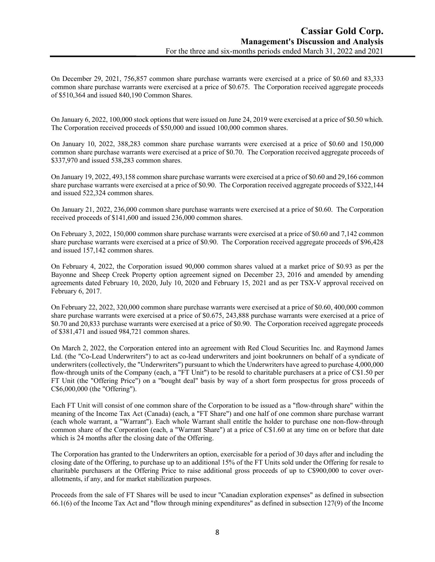On December 29, 2021, 756,857 common share purchase warrants were exercised at a price of \$0.60 and 83,333 common share purchase warrants were exercised at a price of \$0.675. The Corporation received aggregate proceeds of \$510,364 and issued 840,190 Common Shares.

On January 6, 2022, 100,000 stock options that were issued on June 24, 2019 were exercised at a price of \$0.50 which. The Corporation received proceeds of \$50,000 and issued 100,000 common shares.

On January 10, 2022, 388,283 common share purchase warrants were exercised at a price of \$0.60 and 150,000 common share purchase warrants were exercised at a price of \$0.70. The Corporation received aggregate proceeds of \$337,970 and issued 538,283 common shares.

On January 19, 2022, 493,158 common share purchase warrants were exercised at a price of \$0.60 and 29,166 common share purchase warrants were exercised at a price of \$0.90. The Corporation received aggregate proceeds of \$322,144 and issued 522,324 common shares.

On January 21, 2022, 236,000 common share purchase warrants were exercised at a price of \$0.60. The Corporation received proceeds of \$141,600 and issued 236,000 common shares.

On February 3, 2022, 150,000 common share purchase warrants were exercised at a price of \$0.60 and 7,142 common share purchase warrants were exercised at a price of \$0.90. The Corporation received aggregate proceeds of \$96,428 and issued 157,142 common shares.

On February 4, 2022, the Corporation issued 90,000 common shares valued at a market price of \$0.93 as per the Bayonne and Sheep Creek Property option agreement signed on December 23, 2016 and amended by amending agreements dated February 10, 2020, July 10, 2020 and February 15, 2021 and as per TSX-V approval received on February 6, 2017.

On February 22, 2022, 320,000 common share purchase warrants were exercised at a price of \$0.60, 400,000 common share purchase warrants were exercised at a price of \$0.675, 243,888 purchase warrants were exercised at a price of \$0.70 and 20,833 purchase warrants were exercised at a price of \$0.90. The Corporation received aggregate proceeds of \$381,471 and issued 984,721 common shares.

On March 2, 2022, the Corporation entered into an agreement with Red Cloud Securities Inc. and Raymond James Ltd. (the "Co-Lead Underwriters") to act as co-lead underwriters and joint bookrunners on behalf of a syndicate of underwriters (collectively, the "Underwriters") pursuant to which the Underwriters have agreed to purchase 4,000,000 flow-through units of the Company (each, a "FT Unit") to be resold to charitable purchasers at a price of C\$1.50 per FT Unit (the "Offering Price") on a "bought deal" basis by way of a short form prospectus for gross proceeds of C\$6,000,000 (the "Offering").

Each FT Unit will consist of one common share of the Corporation to be issued as a "flow-through share" within the meaning of the Income Tax Act (Canada) (each, a "FT Share") and one half of one common share purchase warrant (each whole warrant, a "Warrant"). Each whole Warrant shall entitle the holder to purchase one non-flow-through common share of the Corporation (each, a "Warrant Share") at a price of C\$1.60 at any time on or before that date which is 24 months after the closing date of the Offering.

The Corporation has granted to the Underwriters an option, exercisable for a period of 30 days after and including the closing date of the Offering, to purchase up to an additional 15% of the FT Units sold under the Offering for resale to charitable purchasers at the Offering Price to raise additional gross proceeds of up to C\$900,000 to cover overallotments, if any, and for market stabilization purposes.

Proceeds from the sale of FT Shares will be used to incur "Canadian exploration expenses" as defined in subsection 66.1(6) of the Income Tax Act and "flow through mining expenditures" as defined in subsection 127(9) of the Income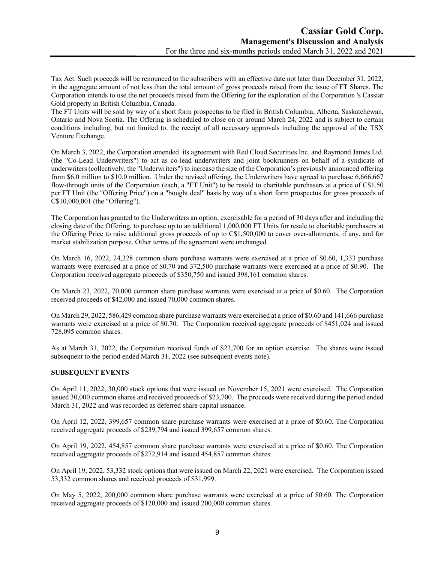Tax Act. Such proceeds will be renounced to the subscribers with an effective date not later than December 31, 2022, in the aggregate amount of not less than the total amount of gross proceeds raised from the issue of FT Shares. The Corporation intends to use the net proceeds raised from the Offering for the exploration of the Corporation 's Cassiar Gold property in British Columbia, Canada.

The FT Units will be sold by way of a short form prospectus to be filed in British Columbia, Alberta, Saskatchewan, Ontario and Nova Scotia. The Offering is scheduled to close on or around March 24, 2022 and is subject to certain conditions including, but not limited to, the receipt of all necessary approvals including the approval of the TSX Venture Exchange.

On March 3, 2022, the Corporation amended its agreement with Red Cloud Securities Inc. and Raymond James Ltd. (the "Co-Lead Underwriters") to act as co-lead underwriters and joint bookrunners on behalf of a syndicate of underwriters (collectively, the "Underwriters") to increase the size of the Corporation's previously announced offering from \$6.0 million to \$10.0 million. Under the revised offering, the Underwriters have agreed to purchase 6,666,667 flow-through units of the Corporation (each, a "FT Unit") to be resold to charitable purchasers at a price of C\$1.50 per FT Unit (the "Offering Price") on a "bought deal" basis by way of a short form prospectus for gross proceeds of C\$10,000,001 (the "Offering").

The Corporation has granted to the Underwriters an option, exercisable for a period of 30 days after and including the closing date of the Offering, to purchase up to an additional 1,000,000 FT Units for resale to charitable purchasers at the Offering Price to raise additional gross proceeds of up to C\$1,500,000 to cover over-allotments, if any, and for market stabilization purpose. Other terms of the agreement were unchanged.

On March 16, 2022, 24,328 common share purchase warrants were exercised at a price of \$0.60, 1,333 purchase warrants were exercised at a price of \$0.70 and 372,500 purchase warrants were exercised at a price of \$0.90. The Corporation received aggregate proceeds of \$350,750 and issued 398,161 common shares.

On March 23, 2022, 70,000 common share purchase warrants were exercised at a price of \$0.60. The Corporation received proceeds of \$42,000 and issued 70,000 common shares.

On March 29, 2022, 586,429 common share purchase warrants were exercised at a price of \$0.60 and 141,666 purchase warrants were exercised at a price of \$0.70. The Corporation received aggregate proceeds of \$451,024 and issued 728,095 common shares.

As at March 31, 2022, the Corporation received funds of \$23,700 for an option exercise. The shares were issued subsequent to the period ended March 31, 2022 (see subsequent events note).

# **SUBSEQUENT EVENTS**

On April 11, 2022, 30,000 stock options that were issued on November 15, 2021 were exercised. The Corporation issued 30,000 common shares and received proceeds of \$23,700. The proceeds were received during the period ended March 31, 2022 and was recorded as deferred share capital issuance.

On April 12, 2022, 399,657 common share purchase warrants were exercised at a price of \$0.60. The Corporation received aggregate proceeds of \$239,794 and issued 399,657 common shares.

On April 19, 2022, 454,857 common share purchase warrants were exercised at a price of \$0.60. The Corporation received aggregate proceeds of \$272,914 and issued 454,857 common shares.

On April 19, 2022, 53,332 stock options that were issued on March 22, 2021 were exercised. The Corporation issued 53,332 common shares and received proceeds of \$31,999.

On May 5, 2022, 200,000 common share purchase warrants were exercised at a price of \$0.60. The Corporation received aggregate proceeds of \$120,000 and issued 200,000 common shares.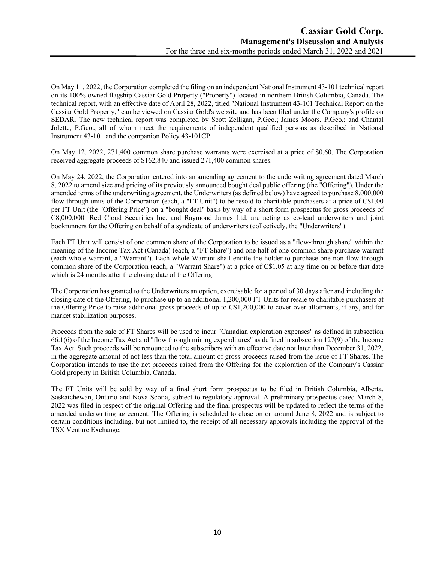On May 11, 2022, the Corporation completed the filing on an independent National Instrument 43-101 technical report on its 100% owned flagship Cassiar Gold Property ("Property") located in northern British Columbia, Canada. The technical report, with an effective date of April 28, 2022, titled "National Instrument 43-101 Technical Report on the Cassiar Gold Property," can be viewed on Cassiar Gold's website and has been filed under the Company's profile on SEDAR. The new technical report was completed by Scott Zelligan, P.Geo.; James Moors, P.Geo.; and Chantal Jolette, P.Geo., all of whom meet the requirements of independent qualified persons as described in National Instrument 43-101 and the companion Policy 43-101CP.

On May 12, 2022, 271,400 common share purchase warrants were exercised at a price of \$0.60. The Corporation received aggregate proceeds of \$162,840 and issued 271,400 common shares.

On May 24, 2022, the Corporation entered into an amending agreement to the underwriting agreement dated March 8, 2022 to amend size and pricing of its previously announced bought deal public offering (the "Offering"). Under the amended terms of the underwriting agreement, the Underwriters (as defined below) have agreed to purchase 8,000,000 flow-through units of the Corporation (each, a "FT Unit") to be resold to charitable purchasers at a price of C\$1.00 per FT Unit (the "Offering Price") on a "bought deal" basis by way of a short form prospectus for gross proceeds of C8,000,000. Red Cloud Securities Inc. and Raymond James Ltd. are acting as co-lead underwriters and joint bookrunners for the Offering on behalf of a syndicate of underwriters (collectively, the "Underwriters").

Each FT Unit will consist of one common share of the Corporation to be issued as a "flow-through share" within the meaning of the Income Tax Act (Canada) (each, a "FT Share") and one half of one common share purchase warrant (each whole warrant, a "Warrant"). Each whole Warrant shall entitle the holder to purchase one non-flow-through common share of the Corporation (each, a "Warrant Share") at a price of C\$1.05 at any time on or before that date which is 24 months after the closing date of the Offering.

The Corporation has granted to the Underwriters an option, exercisable for a period of 30 days after and including the closing date of the Offering, to purchase up to an additional 1,200,000 FT Units for resale to charitable purchasers at the Offering Price to raise additional gross proceeds of up to C\$1,200,000 to cover over-allotments, if any, and for market stabilization purposes.

Proceeds from the sale of FT Shares will be used to incur "Canadian exploration expenses" as defined in subsection 66.1(6) of the Income Tax Act and "flow through mining expenditures" as defined in subsection 127(9) of the Income Tax Act. Such proceeds will be renounced to the subscribers with an effective date not later than December 31, 2022, in the aggregate amount of not less than the total amount of gross proceeds raised from the issue of FT Shares. The Corporation intends to use the net proceeds raised from the Offering for the exploration of the Company's Cassiar Gold property in British Columbia, Canada.

The FT Units will be sold by way of a final short form prospectus to be filed in British Columbia, Alberta, Saskatchewan, Ontario and Nova Scotia, subject to regulatory approval. A preliminary prospectus dated March 8, 2022 was filed in respect of the original Offering and the final prospectus will be updated to reflect the terms of the amended underwriting agreement. The Offering is scheduled to close on or around June 8, 2022 and is subject to certain conditions including, but not limited to, the receipt of all necessary approvals including the approval of the TSX Venture Exchange.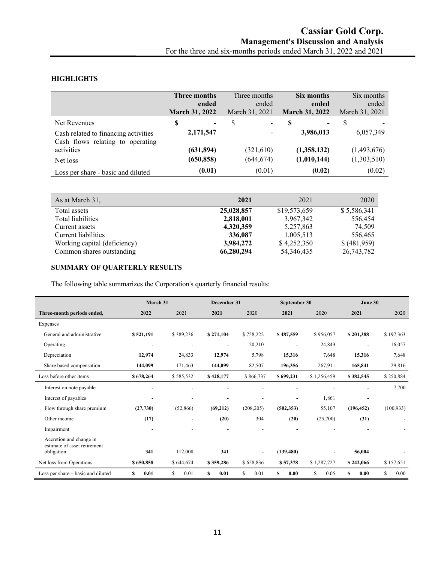# **HIGHLIGHTS**

|                                                                          | Three months<br>ended<br><b>March 31, 2022</b> | Three months<br>ended<br>March 31, 2021 | Six months<br>ended<br><b>March 31, 2022</b> | Six months<br>ended<br>March 31, 2021 |
|--------------------------------------------------------------------------|------------------------------------------------|-----------------------------------------|----------------------------------------------|---------------------------------------|
| Net Revenues                                                             | \$<br>-                                        | S<br>$\overline{\phantom{0}}$           | S<br>$\blacksquare$                          | S                                     |
| Cash related to financing activities<br>Cash flows relating to operating | 2,171,547                                      | $\overline{\phantom{0}}$                | 3,986,013                                    | 6,057,349                             |
| activities                                                               | (631, 894)                                     | (321,610)                               | (1,358,132)                                  | (1,493,676)                           |
| Net loss                                                                 | (650, 858)                                     | (644, 674)                              | (1,010,144)                                  | (1,303,510)                           |
| Loss per share - basic and diluted                                       | (0.01)                                         | (0.01)                                  | (0.02)                                       | (0.02)                                |

| As at March 31,              | 2021       | 2021         | 2020        |
|------------------------------|------------|--------------|-------------|
| Total assets                 | 25,028,857 | \$19,573,659 | \$5,586,341 |
| Total liabilities            | 2,818,001  | 3,967,342    | 556,454     |
| Current assets               | 4,320,359  | 5,257,863    | 74,509      |
| Current liabilities          | 336,087    | 1,005,513    | 556,465     |
| Working capital (deficiency) | 3,984,272  | \$4,252,350  | \$(481,959) |
| Common shares outstanding    | 66,280,294 | 54, 346, 435 | 26,743,782  |

# **SUMMARY OF QUARTERLY RESULTS**

The following table summarizes the Corporation's quarterly financial results:

|                                                                       | March 31                 |                          | December 31              |                          | September 30             |             | June 30                  |            |
|-----------------------------------------------------------------------|--------------------------|--------------------------|--------------------------|--------------------------|--------------------------|-------------|--------------------------|------------|
| Three-month periods ended,                                            | 2022                     | 2021                     | 2021                     | 2020                     | 2021                     | 2020        | 2021                     | 2020       |
| Expenses                                                              |                          |                          |                          |                          |                          |             |                          |            |
| General and administrative                                            | \$521,191                | \$389,236                | \$271,104                | \$758,222                | \$487,559                | \$956,057   | \$201,388                | \$197,363  |
| Operating                                                             | $\overline{\phantom{a}}$ | $\overline{\phantom{a}}$ | $\overline{\phantom{a}}$ | 20,210                   | $\overline{\phantom{a}}$ | 24,843      | $\overline{\phantom{a}}$ | 16,057     |
| Depreciation                                                          | 12,974                   | 24,833                   | 12,974                   | 5,798                    | 15,316                   | 7,648       | 15,316                   | 7,648      |
| Share based compensation                                              | 144,099                  | 171,463                  | 144,099                  | 82,507                   | 196,356                  | 267,911     | 165,841                  | 29,816     |
| Loss before other items                                               | \$678,264                | \$585,532                | \$428,177                | \$866,737                | \$699,231                | \$1,256,459 | \$382,545                | \$250,884  |
| Interest on note payable                                              |                          |                          |                          |                          |                          |             |                          | 7,700      |
| Interest of payables                                                  | $\overline{\phantom{a}}$ |                          | $\overline{\phantom{0}}$ |                          | $\overline{\phantom{a}}$ | 1,861       | $\overline{\phantom{0}}$ |            |
| Flow through share premium                                            | (27,730)                 | (52,866)                 | (69,212)                 | (208, 205)               | (502, 353)               | 55,107      | (196, 452)               | (100, 933) |
| Other income                                                          | (17)                     | $\overline{\phantom{a}}$ | (20)                     | 304                      | (20)                     | (25,700)    | (31)                     |            |
| Impairment                                                            |                          |                          |                          |                          | $\overline{\phantom{0}}$ |             |                          |            |
| Accretion and change in<br>estimate of asset retirement<br>obligation | 341                      | 112,008                  | 341                      | $\overline{\phantom{a}}$ | (139, 480)               |             | 56,004                   |            |
| Net loss from Operations                                              | \$650,858                | \$644,674                | \$359,286                | \$658,836                | \$57,378                 | \$1,287,727 | \$242,066                | \$157,651  |
| Loss per share – basic and diluted                                    | 0.01<br>\$               | \$<br>0.01               | S<br>0.01                | S<br>0.01                | S<br>0.00                | \$<br>0.05  | \$<br>0.00               | \$<br>0.00 |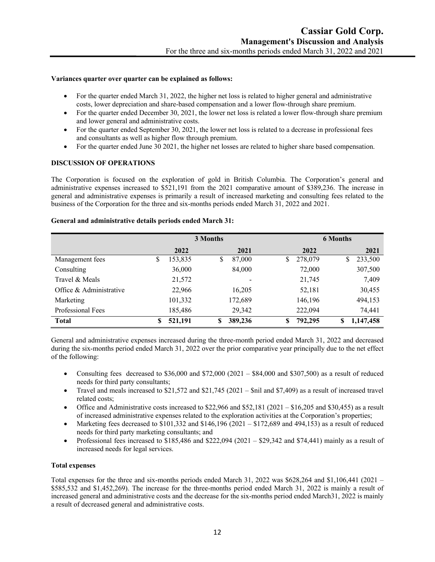#### **Variances quarter over quarter can be explained as follows:**

- For the quarter ended March 31, 2022, the higher net loss is related to higher general and administrative costs, lower depreciation and share-based compensation and a lower flow-through share premium.
- For the quarter ended December 30, 2021, the lower net loss is related a lower flow-through share premium and lower general and administrative costs.
- For the quarter ended September 30, 2021, the lower net loss is related to a decrease in professional fees and consultants as well as higher flow through premium.
- For the quarter ended June 30 2021, the higher net losses are related to higher share based compensation.

### **DISCUSSION OF OPERATIONS**

The Corporation is focused on the exploration of gold in British Columbia. The Corporation's general and administrative expenses increased to \$521,191 from the 2021 comparative amount of \$389,236. The increase in general and administrative expenses is primarily a result of increased marketing and consulting fees related to the business of the Corporation for the three and six-months periods ended March 31, 2022 and 2021.

### **General and administrative details periods ended March 31:**

|                         | 3 Months      |               | <b>6 Months</b> |                 |  |
|-------------------------|---------------|---------------|-----------------|-----------------|--|
|                         | 2022          | 2021          | 2022            | 2021            |  |
| Management fees         | \$<br>153,835 | \$<br>87,000  | 278,079<br>S    | 233,500<br>\$   |  |
| Consulting              | 36,000        | 84,000        | 72,000          | 307,500         |  |
| Travel & Meals          | 21,572        |               | 21,745          | 7,409           |  |
| Office & Administrative | 22,966        | 16,205        | 52,181          | 30,455          |  |
| Marketing               | 101,332       | 172,689       | 146,196         | 494,153         |  |
| Professional Fees       | 185,486       | 29,342        | 222,094         | 74,441          |  |
| <b>Total</b>            | 521,191<br>\$ | 389,236<br>\$ | 792,295<br>\$   | 1,147,458<br>\$ |  |

General and administrative expenses increased during the three-month period ended March 31, 2022 and decreased during the six-months period ended March 31, 2022 over the prior comparative year principally due to the net effect of the following:

- Consulting fees decreased to  $$36,000$  and  $$72,000$  (2021  $$84,000$  and  $$307,500$ ) as a result of reduced needs for third party consultants;
- Travel and meals increased to \$21,572 and \$21,745 (2021 \$nil and \$7,409) as a result of increased travel related costs;
- Office and Administrative costs increased to  $$22,966$  and  $$52,181$  (2021 \$16,205 and \$30,455) as a result of increased administrative expenses related to the exploration activities at the Corporation's properties;
- Marketing fees decreased to \$101,332 and \$146,196 (2021 \$172,689 and 494,153) as a result of reduced needs for third party marketing consultants; and
- Professional fees increased to \$185,486 and \$222,094 (2021 \$29,342 and \$74,441) mainly as a result of increased needs for legal services.

## **Total expenses**

Total expenses for the three and six-months periods ended March 31, 2022 was \$628,264 and \$1,106,441 (2021 – \$585,532 and \$1,452,269). The increase for the three-months period ended March 31, 2022 is mainly a result of increased general and administrative costs and the decrease for the six-months period ended March31, 2022 is mainly a result of decreased general and administrative costs.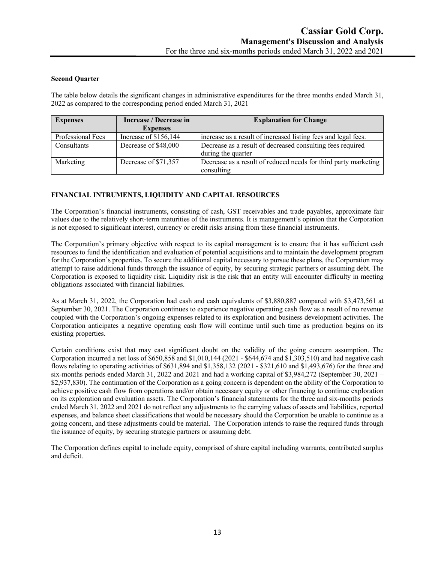#### **Second Quarter**

The table below details the significant changes in administrative expenditures for the three months ended March 31, 2022 as compared to the corresponding period ended March 31, 2021

| <b>Expenses</b>   | Increase / Decrease in<br><b>Expenses</b> | <b>Explanation for Change</b>                                   |
|-------------------|-------------------------------------------|-----------------------------------------------------------------|
| Professional Fees | Increase of \$156,144                     | increase as a result of increased listing fees and legal fees.  |
| Consultants       | Decrease of \$48,000                      | Decrease as a result of decreased consulting fees required      |
|                   |                                           | during the quarter                                              |
| Marketing         | Decrease of \$71,357                      | Decrease as a result of reduced needs for third party marketing |
|                   |                                           | consulting                                                      |

# **FINANCIAL INTRUMENTS, LIQUIDITY AND CAPITAL RESOURCES**

The Corporation's financial instruments, consisting of cash, GST receivables and trade payables, approximate fair values due to the relatively short-term maturities of the instruments. It is management's opinion that the Corporation is not exposed to significant interest, currency or credit risks arising from these financial instruments.

The Corporation's primary objective with respect to its capital management is to ensure that it has sufficient cash resources to fund the identification and evaluation of potential acquisitions and to maintain the development program for the Corporation's properties. To secure the additional capital necessary to pursue these plans, the Corporation may attempt to raise additional funds through the issuance of equity, by securing strategic partners or assuming debt. The Corporation is exposed to liquidity risk. Liquidity risk is the risk that an entity will encounter difficulty in meeting obligations associated with financial liabilities.

As at March 31, 2022, the Corporation had cash and cash equivalents of \$3,880,887 compared with \$3,473,561 at September 30, 2021. The Corporation continues to experience negative operating cash flow as a result of no revenue coupled with the Corporation's ongoing expenses related to its exploration and business development activities. The Corporation anticipates a negative operating cash flow will continue until such time as production begins on its existing properties.

Certain conditions exist that may cast significant doubt on the validity of the going concern assumption. The Corporation incurred a net loss of \$650,858 and \$1,010,144 (2021 - \$644,674 and \$1,303,510) and had negative cash flows relating to operating activities of \$631,894 and \$1,358,132 (2021 - \$321,610 and \$1,493,676) for the three and six-months periods ended March 31, 2022 and 2021 and had a working capital of \$3,984,272 (September 30, 2021 – \$2,937,830). The continuation of the Corporation as a going concern is dependent on the ability of the Corporation to achieve positive cash flow from operations and/or obtain necessary equity or other financing to continue exploration on its exploration and evaluation assets. The Corporation's financial statements for the three and six-months periods ended March 31, 2022 and 2021 do not reflect any adjustments to the carrying values of assets and liabilities, reported expenses, and balance sheet classifications that would be necessary should the Corporation be unable to continue as a going concern, and these adjustments could be material. The Corporation intends to raise the required funds through the issuance of equity, by securing strategic partners or assuming debt.

The Corporation defines capital to include equity, comprised of share capital including warrants, contributed surplus and deficit.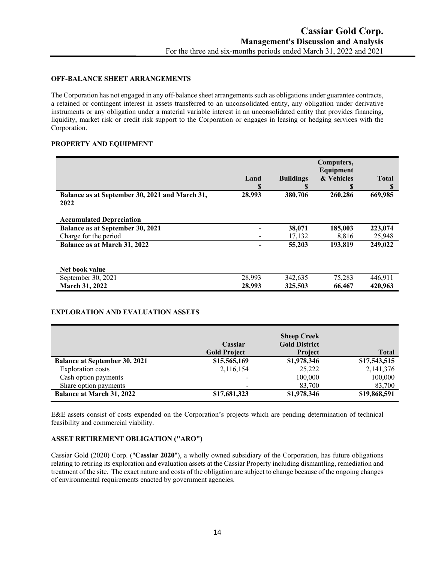#### **OFF-BALANCE SHEET ARRANGEMENTS**

The Corporation has not engaged in any off-balance sheet arrangements such as obligations under guarantee contracts, a retained or contingent interest in assets transferred to an unconsolidated entity, any obligation under derivative instruments or any obligation under a material variable interest in an unconsolidated entity that provides financing, liquidity, market risk or credit risk support to the Corporation or engages in leasing or hedging services with the Corporation.

## **PROPERTY AND EQUIPMENT**

|                                                        |        |                  | Computers, |              |
|--------------------------------------------------------|--------|------------------|------------|--------------|
|                                                        |        |                  | Equipment  |              |
|                                                        | Land   | <b>Buildings</b> | & Vehicles | <b>Total</b> |
|                                                        | S      |                  | S          | S            |
| Balance as at September 30, 2021 and March 31,<br>2022 | 28,993 | 380,706          | 260,286    | 669,985      |
| <b>Accumulated Depreciation</b>                        |        |                  |            |              |
| Balance as at September 30, 2021                       |        | 38,071           | 185,003    | 223,074      |
| Charge for the period                                  |        | 17,132           | 8.816      | 25,948       |
| Balance as at March 31, 2022                           |        | 55,203           | 193,819    | 249,022      |
| Net book value                                         |        |                  |            |              |
| September 30, 2021                                     | 28,993 | 342,635          | 75,283     | 446,911      |
| <b>March 31, 2022</b>                                  | 28,993 | 325,503          | 66,467     | 420,963      |

### **EXPLORATION AND EVALUATION ASSETS**

|                                      | Cassiar             | <b>Sheep Creek</b><br><b>Gold District</b> |              |
|--------------------------------------|---------------------|--------------------------------------------|--------------|
|                                      | <b>Gold Project</b> | <b>Project</b>                             | <b>Total</b> |
| <b>Balance at September 30, 2021</b> | \$15,565,169        | \$1,978,346                                | \$17,543,515 |
| <b>Exploration costs</b>             | 2,116,154           | 25,222                                     | 2,141,376    |
| Cash option payments                 |                     | 100,000                                    | 100,000      |
| Share option payments                |                     | 83,700                                     | 83,700       |
| <b>Balance at March 31, 2022</b>     | \$17,681,323        | \$1,978,346                                | \$19,868,591 |

E&E assets consist of costs expended on the Corporation's projects which are pending determination of technical feasibility and commercial viability.

### **ASSET RETIREMENT OBLIGATION ("ARO")**

Cassiar Gold (2020) Corp. ("**Cassiar 2020**"), a wholly owned subsidiary of the Corporation, has future obligations relating to retiring its exploration and evaluation assets at the Cassiar Property including dismantling, remediation and treatment of the site. The exact nature and costs of the obligation are subject to change because of the ongoing changes of environmental requirements enacted by government agencies.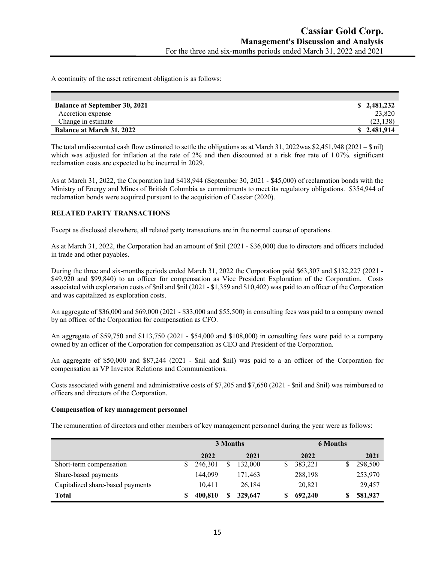A continuity of the asset retirement obligation is as follows:

| <b>Balance at September 30, 2021</b> | \$2,481,232 |
|--------------------------------------|-------------|
| Accretion expense                    | 23,820      |
| Change in estimate                   | (23, 138)   |
| <b>Balance at March 31, 2022</b>     | \$2.481,914 |

The total undiscounted cash flow estimated to settle the obligations as at March 31, 2022was \$2,451,948 (2021 – \$ nil) which was adjusted for inflation at the rate of 2% and then discounted at a risk free rate of 1.07%. significant reclamation costs are expected to be incurred in 2029.

As at March 31, 2022, the Corporation had \$418,944 (September 30, 2021 - \$45,000) of reclamation bonds with the Ministry of Energy and Mines of British Columbia as commitments to meet its regulatory obligations. \$354,944 of reclamation bonds were acquired pursuant to the acquisition of Cassiar (2020).

### **RELATED PARTY TRANSACTIONS**

Except as disclosed elsewhere, all related party transactions are in the normal course of operations.

As at March 31, 2022, the Corporation had an amount of \$nil (2021 - \$36,000) due to directors and officers included in trade and other payables.

During the three and six-months periods ended March 31, 2022 the Corporation paid \$63,307 and \$132,227 (2021 - \$49,920 and \$99,840) to an officer for compensation as Vice President Exploration of the Corporation. Costs associated with exploration costs of \$nil and \$nil (2021 - \$1,359 and \$10,402) was paid to an officer of the Corporation and was capitalized as exploration costs.

An aggregate of \$36,000 and \$69,000 (2021 - \$33,000 and \$55,500) in consulting fees was paid to a company owned by an officer of the Corporation for compensation as CFO.

An aggregate of \$59,750 and \$113,750 (2021 - \$54,000 and \$108,000) in consulting fees were paid to a company owned by an officer of the Corporation for compensation as CEO and President of the Corporation.

An aggregate of \$50,000 and \$87,244 (2021 - \$nil and \$nil) was paid to a an officer of the Corporation for compensation as VP Investor Relations and Communications.

Costs associated with general and administrative costs of \$7,205 and \$7,650 (2021 - \$nil and \$nil) was reimbursed to officers and directors of the Corporation.

#### **Compensation of key management personnel**

The remuneration of directors and other members of key management personnel during the year were as follows:

|                                  |   |         | 3 Months |         | <b>6 Months</b> |         |
|----------------------------------|---|---------|----------|---------|-----------------|---------|
|                                  |   | 2022    | 2021     | 2022    |                 | 2021    |
| Short-term compensation          | S | 246,301 | 132,000  | 383,221 |                 | 298,500 |
| Share-based payments             |   | 144,099 | 171,463  | 288,198 |                 | 253,970 |
| Capitalized share-based payments |   | 10.411  | 26.184   | 20,821  |                 | 29,457  |
| <b>Total</b>                     | S | 400.810 | 329,647  | 692,240 |                 | 581,927 |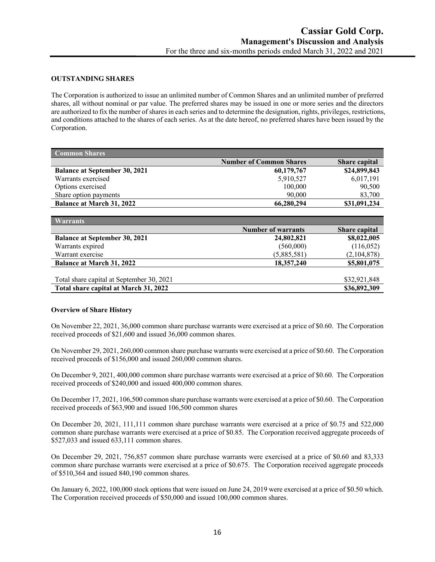#### **OUTSTANDING SHARES**

The Corporation is authorized to issue an unlimited number of Common Shares and an unlimited number of preferred shares, all without nominal or par value. The preferred shares may be issued in one or more series and the directors are authorized to fix the number of shares in each series and to determine the designation, rights, privileges, restrictions, and conditions attached to the shares of each series. As at the date hereof, no preferred shares have been issued by the Corporation.

| <b>Common Shares</b>                 |                                |                      |
|--------------------------------------|--------------------------------|----------------------|
|                                      | <b>Number of Common Shares</b> | <b>Share capital</b> |
| <b>Balance at September 30, 2021</b> | 60,179,767                     | \$24,899,843         |
| Warrants exercised                   | 5,910,527                      | 6,017,191            |
| Options exercised                    | 100,000                        | 90,500               |
| Share option payments                | 90,000                         | 83,700               |
| <b>Balance at March 31, 2022</b>     | 66,280,294                     | \$31,091,234         |
|                                      |                                |                      |
| __                                   |                                |                      |

| <b>Warrants</b>                           |                           |                      |
|-------------------------------------------|---------------------------|----------------------|
|                                           | <b>Number of warrants</b> | <b>Share capital</b> |
| <b>Balance at September 30, 2021</b>      | 24,802,821                | \$8,022,005          |
| Warrants expired                          | (560,000)                 | (116,052)            |
| Warrant exercise                          | (5,885,581)               | (2,104,878)          |
| <b>Balance at March 31, 2022</b>          | 18,357,240                | \$5,801,075          |
|                                           |                           |                      |
| Total share capital at September 30, 2021 |                           | \$32,921,848         |
| Total share capital at March 31, 2022     |                           | \$36,892,309         |

### **Overview of Share History**

On November 22, 2021, 36,000 common share purchase warrants were exercised at a price of \$0.60. The Corporation received proceeds of \$21,600 and issued 36,000 common shares.

On November 29, 2021, 260,000 common share purchase warrants were exercised at a price of \$0.60. The Corporation received proceeds of \$156,000 and issued 260,000 common shares.

On December 9, 2021, 400,000 common share purchase warrants were exercised at a price of \$0.60. The Corporation received proceeds of \$240,000 and issued 400,000 common shares.

On December 17, 2021, 106,500 common share purchase warrants were exercised at a price of \$0.60. The Corporation received proceeds of \$63,900 and issued 106,500 common shares

On December 20, 2021, 111,111 common share purchase warrants were exercised at a price of \$0.75 and 522,000 common share purchase warrants were exercised at a price of \$0.85. The Corporation received aggregate proceeds of \$527,033 and issued 633,111 common shares.

On December 29, 2021, 756,857 common share purchase warrants were exercised at a price of \$0.60 and 83,333 common share purchase warrants were exercised at a price of \$0.675. The Corporation received aggregate proceeds of \$510,364 and issued 840,190 common shares.

On January 6, 2022, 100,000 stock options that were issued on June 24, 2019 were exercised at a price of \$0.50 which. The Corporation received proceeds of \$50,000 and issued 100,000 common shares.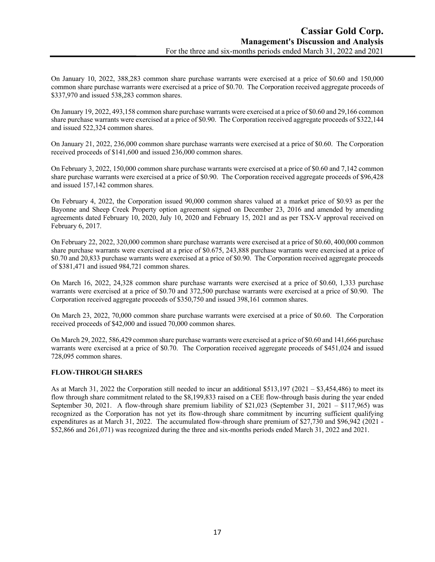On January 10, 2022, 388,283 common share purchase warrants were exercised at a price of \$0.60 and 150,000 common share purchase warrants were exercised at a price of \$0.70. The Corporation received aggregate proceeds of \$337,970 and issued 538,283 common shares.

On January 19, 2022, 493,158 common share purchase warrants were exercised at a price of \$0.60 and 29,166 common share purchase warrants were exercised at a price of \$0.90. The Corporation received aggregate proceeds of \$322,144 and issued 522,324 common shares.

On January 21, 2022, 236,000 common share purchase warrants were exercised at a price of \$0.60. The Corporation received proceeds of \$141,600 and issued 236,000 common shares.

On February 3, 2022, 150,000 common share purchase warrants were exercised at a price of \$0.60 and 7,142 common share purchase warrants were exercised at a price of \$0.90. The Corporation received aggregate proceeds of \$96,428 and issued 157,142 common shares.

On February 4, 2022, the Corporation issued 90,000 common shares valued at a market price of \$0.93 as per the Bayonne and Sheep Creek Property option agreement signed on December 23, 2016 and amended by amending agreements dated February 10, 2020, July 10, 2020 and February 15, 2021 and as per TSX-V approval received on February 6, 2017.

On February 22, 2022, 320,000 common share purchase warrants were exercised at a price of \$0.60, 400,000 common share purchase warrants were exercised at a price of \$0.675, 243,888 purchase warrants were exercised at a price of \$0.70 and 20,833 purchase warrants were exercised at a price of \$0.90. The Corporation received aggregate proceeds of \$381,471 and issued 984,721 common shares.

On March 16, 2022, 24,328 common share purchase warrants were exercised at a price of \$0.60, 1,333 purchase warrants were exercised at a price of \$0.70 and 372,500 purchase warrants were exercised at a price of \$0.90. The Corporation received aggregate proceeds of \$350,750 and issued 398,161 common shares.

On March 23, 2022, 70,000 common share purchase warrants were exercised at a price of \$0.60. The Corporation received proceeds of \$42,000 and issued 70,000 common shares.

On March 29, 2022, 586,429 common share purchase warrants were exercised at a price of \$0.60 and 141,666 purchase warrants were exercised at a price of \$0.70. The Corporation received aggregate proceeds of \$451,024 and issued 728,095 common shares.

### **FLOW-THROUGH SHARES**

As at March 31, 2022 the Corporation still needed to incur an additional \$513,197 (2021 – \$3,454,486) to meet its flow through share commitment related to the \$8,199,833 raised on a CEE flow-through basis during the year ended September 30, 2021. A flow-through share premium liability of \$21,023 (September 31, 2021 – \$117,965) was recognized as the Corporation has not yet its flow-through share commitment by incurring sufficient qualifying expenditures as at March 31, 2022. The accumulated flow-through share premium of \$27,730 and \$96,942 (2021 - \$52,866 and 261,071) was recognized during the three and six-months periods ended March 31, 2022 and 2021.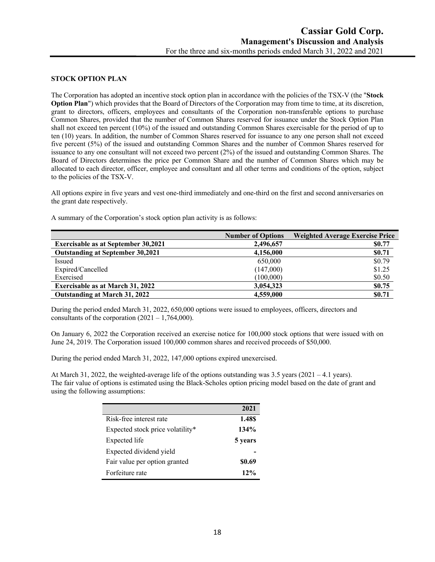#### **STOCK OPTION PLAN**

The Corporation has adopted an incentive stock option plan in accordance with the policies of the TSX-V (the "**Stock Option Plan**") which provides that the Board of Directors of the Corporation may from time to time, at its discretion, grant to directors, officers, employees and consultants of the Corporation non-transferable options to purchase Common Shares, provided that the number of Common Shares reserved for issuance under the Stock Option Plan shall not exceed ten percent (10%) of the issued and outstanding Common Shares exercisable for the period of up to ten (10) years. In addition, the number of Common Shares reserved for issuance to any one person shall not exceed five percent (5%) of the issued and outstanding Common Shares and the number of Common Shares reserved for issuance to any one consultant will not exceed two percent (2%) of the issued and outstanding Common Shares. The Board of Directors determines the price per Common Share and the number of Common Shares which may be allocated to each director, officer, employee and consultant and all other terms and conditions of the option, subject to the policies of the TSX-V.

All options expire in five years and vest one-third immediately and one-third on the first and second anniversaries on the grant date respectively.

A summary of the Corporation's stock option plan activity is as follows:

|                                            | <b>Number of Options</b> | <b>Weighted Average Exercise Price</b> |
|--------------------------------------------|--------------------------|----------------------------------------|
| <b>Exercisable as at September 30,2021</b> | 2,496,657                | \$0.77                                 |
| <b>Outstanding at September 30,2021</b>    | 4,156,000                | \$0.71                                 |
| Issued                                     | 650,000                  | \$0.79                                 |
| Expired/Cancelled                          | (147,000)                | \$1.25                                 |
| Exercised                                  | (100,000)                | \$0.50                                 |
| <b>Exercisable as at March 31, 2022</b>    | 3,054,323                | \$0.75                                 |
| Outstanding at March 31, 2022              | 4,559,000                | \$0.71                                 |

During the period ended March 31, 2022, 650,000 options were issued to employees, officers, directors and consultants of the corporation  $(2021 - 1,764,000)$ .

On January 6, 2022 the Corporation received an exercise notice for 100,000 stock options that were issued with on June 24, 2019. The Corporation issued 100,000 common shares and received proceeds of \$50,000.

During the period ended March 31, 2022, 147,000 options expired unexercised.

At March 31, 2022, the weighted-average life of the options outstanding was 3.5 years ( $2021 - 4.1$  years). The fair value of options is estimated using the Black-Scholes option pricing model based on the date of grant and using the following assumptions:

|                                  | 2021    |
|----------------------------------|---------|
| Risk-free interest rate          | 1.48\$  |
| Expected stock price volatility* | 134%    |
| Expected life                    | 5 years |
| Expected dividend yield          |         |
| Fair value per option granted    | \$0.69  |
| Forfeiture rate                  | $12\%$  |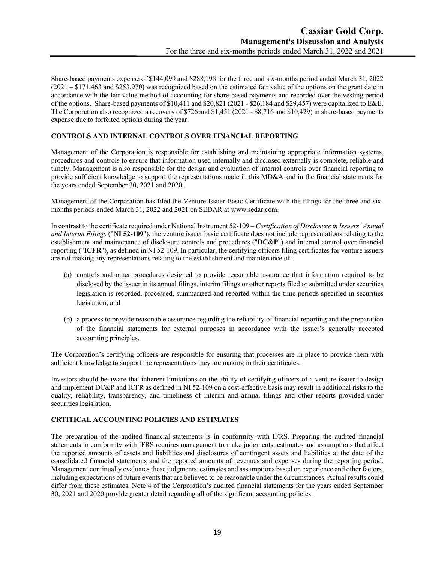Share-based payments expense of \$144,099 and \$288,198 for the three and six-months period ended March 31, 2022 (2021 – \$171,463 and \$253,970) was recognized based on the estimated fair value of the options on the grant date in accordance with the fair value method of accounting for share-based payments and recorded over the vesting period of the options. Share-based payments of \$10,411 and \$20,821 (2021 - \$26,184 and \$29,457) were capitalized to E&E. The Corporation also recognized a recovery of \$726 and \$1,451 (2021 - \$8,716 and \$10,429) in share-based payments expense due to forfeited options during the year.

# **CONTROLS AND INTERNAL CONTROLS OVER FINANCIAL REPORTING**

Management of the Corporation is responsible for establishing and maintaining appropriate information systems, procedures and controls to ensure that information used internally and disclosed externally is complete, reliable and timely. Management is also responsible for the design and evaluation of internal controls over financial reporting to provide sufficient knowledge to support the representations made in this MD&A and in the financial statements for the years ended September 30, 2021 and 2020.

Management of the Corporation has filed the Venture Issuer Basic Certificate with the filings for the three and sixmonths periods ended March 31, 2022 and 2021 on SEDAR at www.sedar.com.

In contrast to the certificate required under National Instrument 52-109 – *Certification of Disclosure in Issuers' Annual and Interim Filings* ("**NI 52-109**"), the venture issuer basic certificate does not include representations relating to the establishment and maintenance of disclosure controls and procedures ("**DC&P**") and internal control over financial reporting ("**ICFR**"), as defined in NI 52-109. In particular, the certifying officers filing certificates for venture issuers are not making any representations relating to the establishment and maintenance of:

- (a) controls and other procedures designed to provide reasonable assurance that information required to be disclosed by the issuer in its annual filings, interim filings or other reports filed or submitted under securities legislation is recorded, processed, summarized and reported within the time periods specified in securities legislation; and
- (b) a process to provide reasonable assurance regarding the reliability of financial reporting and the preparation of the financial statements for external purposes in accordance with the issuer's generally accepted accounting principles.

The Corporation's certifying officers are responsible for ensuring that processes are in place to provide them with sufficient knowledge to support the representations they are making in their certificates.

Investors should be aware that inherent limitations on the ability of certifying officers of a venture issuer to design and implement DC&P and ICFR as defined in NI 52-109 on a cost-effective basis may result in additional risks to the quality, reliability, transparency, and timeliness of interim and annual filings and other reports provided under securities legislation.

### **CRTITICAL ACCOUNTING POLICIES AND ESTIMATES**

The preparation of the audited financial statements is in conformity with IFRS. Preparing the audited financial statements in conformity with IFRS requires management to make judgments, estimates and assumptions that affect the reported amounts of assets and liabilities and disclosures of contingent assets and liabilities at the date of the consolidated financial statements and the reported amounts of revenues and expenses during the reporting period. Management continually evaluates these judgments, estimates and assumptions based on experience and other factors, including expectations of future events that are believed to be reasonable under the circumstances. Actual results could differ from these estimates. Note 4 of the Corporation's audited financial statements for the years ended September 30, 2021 and 2020 provide greater detail regarding all of the significant accounting policies.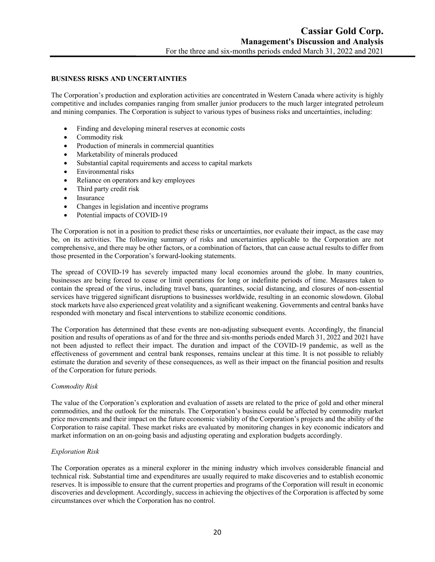#### **BUSINESS RISKS AND UNCERTAINTIES**

The Corporation's production and exploration activities are concentrated in Western Canada where activity is highly competitive and includes companies ranging from smaller junior producers to the much larger integrated petroleum and mining companies. The Corporation is subject to various types of business risks and uncertainties, including:

- Finding and developing mineral reserves at economic costs
- Commodity risk
- Production of minerals in commercial quantities
- Marketability of minerals produced
- Substantial capital requirements and access to capital markets
- Environmental risks
- Reliance on operators and key employees
- Third party credit risk
- Insurance
- Changes in legislation and incentive programs
- Potential impacts of COVID-19

The Corporation is not in a position to predict these risks or uncertainties, nor evaluate their impact, as the case may be, on its activities. The following summary of risks and uncertainties applicable to the Corporation are not comprehensive, and there may be other factors, or a combination of factors, that can cause actual results to differ from those presented in the Corporation's forward-looking statements.

The spread of COVID-19 has severely impacted many local economies around the globe. In many countries, businesses are being forced to cease or limit operations for long or indefinite periods of time. Measures taken to contain the spread of the virus, including travel bans, quarantines, social distancing, and closures of non-essential services have triggered significant disruptions to businesses worldwide, resulting in an economic slowdown. Global stock markets have also experienced great volatility and a significant weakening. Governments and central banks have responded with monetary and fiscal interventions to stabilize economic conditions.

The Corporation has determined that these events are non-adjusting subsequent events. Accordingly, the financial position and results of operations as of and for the three and six-months periods ended March 31, 2022 and 2021 have not been adjusted to reflect their impact. The duration and impact of the COVID-19 pandemic, as well as the effectiveness of government and central bank responses, remains unclear at this time. It is not possible to reliably estimate the duration and severity of these consequences, as well as their impact on the financial position and results of the Corporation for future periods.

#### *Commodity Risk*

The value of the Corporation's exploration and evaluation of assets are related to the price of gold and other mineral commodities, and the outlook for the minerals. The Corporation's business could be affected by commodity market price movements and their impact on the future economic viability of the Corporation's projects and the ability of the Corporation to raise capital. These market risks are evaluated by monitoring changes in key economic indicators and market information on an on-going basis and adjusting operating and exploration budgets accordingly.

#### *Exploration Risk*

The Corporation operates as a mineral explorer in the mining industry which involves considerable financial and technical risk. Substantial time and expenditures are usually required to make discoveries and to establish economic reserves. It is impossible to ensure that the current properties and programs of the Corporation will result in economic discoveries and development. Accordingly, success in achieving the objectives of the Corporation is affected by some circumstances over which the Corporation has no control.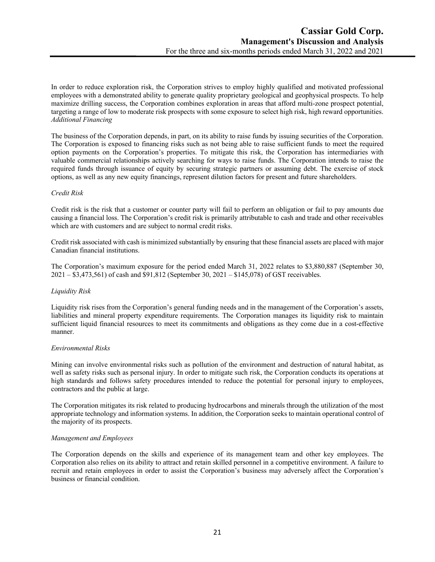In order to reduce exploration risk, the Corporation strives to employ highly qualified and motivated professional employees with a demonstrated ability to generate quality proprietary geological and geophysical prospects. To help maximize drilling success, the Corporation combines exploration in areas that afford multi-zone prospect potential, targeting a range of low to moderate risk prospects with some exposure to select high risk, high reward opportunities. *Additional Financing*

The business of the Corporation depends, in part, on its ability to raise funds by issuing securities of the Corporation. The Corporation is exposed to financing risks such as not being able to raise sufficient funds to meet the required option payments on the Corporation's properties. To mitigate this risk, the Corporation has intermediaries with valuable commercial relationships actively searching for ways to raise funds. The Corporation intends to raise the required funds through issuance of equity by securing strategic partners or assuming debt. The exercise of stock options, as well as any new equity financings, represent dilution factors for present and future shareholders.

### *Credit Risk*

Credit risk is the risk that a customer or counter party will fail to perform an obligation or fail to pay amounts due causing a financial loss. The Corporation's credit risk is primarily attributable to cash and trade and other receivables which are with customers and are subject to normal credit risks.

Credit risk associated with cash is minimized substantially by ensuring that these financial assets are placed with major Canadian financial institutions.

The Corporation's maximum exposure for the period ended March 31, 2022 relates to \$3,880,887 (September 30, 2021 – \$3,473,561) of cash and \$91,812 (September 30, 2021 – \$145,078) of GST receivables.

### *Liquidity Risk*

Liquidity risk rises from the Corporation's general funding needs and in the management of the Corporation's assets, liabilities and mineral property expenditure requirements. The Corporation manages its liquidity risk to maintain sufficient liquid financial resources to meet its commitments and obligations as they come due in a cost-effective manner.

### *Environmental Risks*

Mining can involve environmental risks such as pollution of the environment and destruction of natural habitat, as well as safety risks such as personal injury. In order to mitigate such risk, the Corporation conducts its operations at high standards and follows safety procedures intended to reduce the potential for personal injury to employees, contractors and the public at large.

The Corporation mitigates its risk related to producing hydrocarbons and minerals through the utilization of the most appropriate technology and information systems. In addition, the Corporation seeks to maintain operational control of the majority of its prospects.

### *Management and Employees*

The Corporation depends on the skills and experience of its management team and other key employees. The Corporation also relies on its ability to attract and retain skilled personnel in a competitive environment. A failure to recruit and retain employees in order to assist the Corporation's business may adversely affect the Corporation's business or financial condition.